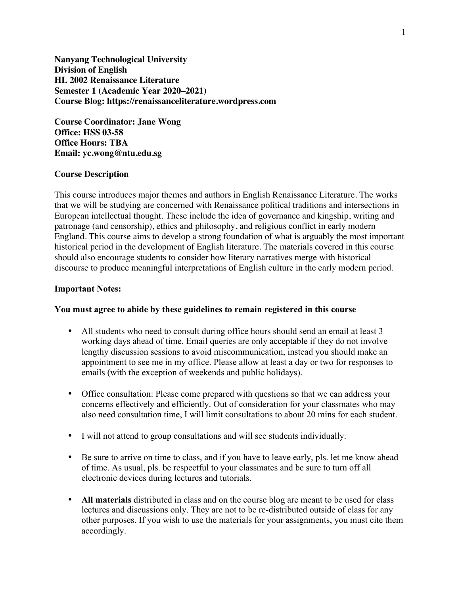**Nanyang Technological University Division of English HL 2002 Renaissance Literature Semester 1 (Academic Year 2020–2021) Course Blog: https://renaissanceliterature.wordpress.com**

**Course Coordinator: Jane Wong Office: HSS 03-58 Office Hours: TBA Email: yc.wong@ntu.edu.sg**

## **Course Description**

This course introduces major themes and authors in English Renaissance Literature. The works that we will be studying are concerned with Renaissance political traditions and intersections in European intellectual thought. These include the idea of governance and kingship, writing and patronage (and censorship), ethics and philosophy, and religious conflict in early modern England. This course aims to develop a strong foundation of what is arguably the most important historical period in the development of English literature. The materials covered in this course should also encourage students to consider how literary narratives merge with historical discourse to produce meaningful interpretations of English culture in the early modern period.

### **Important Notes:**

#### **You must agree to abide by these guidelines to remain registered in this course**

- All students who need to consult during office hours should send an email at least 3 working days ahead of time. Email queries are only acceptable if they do not involve lengthy discussion sessions to avoid miscommunication, instead you should make an appointment to see me in my office. Please allow at least a day or two for responses to emails (with the exception of weekends and public holidays).
- Office consultation: Please come prepared with questions so that we can address your concerns effectively and efficiently. Out of consideration for your classmates who may also need consultation time, I will limit consultations to about 20 mins for each student.
- I will not attend to group consultations and will see students individually.
- Be sure to arrive on time to class, and if you have to leave early, pls. let me know ahead of time. As usual, pls. be respectful to your classmates and be sure to turn off all electronic devices during lectures and tutorials.
- **All materials** distributed in class and on the course blog are meant to be used for class lectures and discussions only. They are not to be re-distributed outside of class for any other purposes. If you wish to use the materials for your assignments, you must cite them accordingly.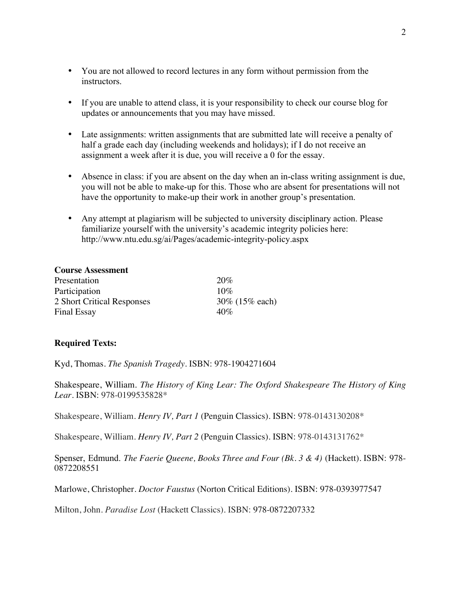- You are not allowed to record lectures in any form without permission from the instructors.
- If you are unable to attend class, it is your responsibility to check our course blog for updates or announcements that you may have missed.
- Late assignments: written assignments that are submitted late will receive a penalty of half a grade each day (including weekends and holidays); if I do not receive an assignment a week after it is due, you will receive a 0 for the essay.
- Absence in class: if you are absent on the day when an in-class writing assignment is due, you will not be able to make-up for this. Those who are absent for presentations will not have the opportunity to make-up their work in another group's presentation.
- Any attempt at plagiarism will be subjected to university disciplinary action. Please familiarize yourself with the university's academic integrity policies here: http://www.ntu.edu.sg/ai/Pages/academic-integrity-policy.aspx

| <b>Course Assessment</b>   |                  |
|----------------------------|------------------|
| Presentation               | 20%              |
| Participation              | $10\%$           |
| 2 Short Critical Responses | 30\% (15\% each) |
| <b>Final Essay</b>         | $40\%$           |

## **Required Texts:**

Kyd, Thomas. *The Spanish Tragedy.* ISBN: 978-1904271604

Shakespeare, William. *The History of King Lear: The Oxford Shakespeare The History of King Lear.* ISBN: 978-0199535828\*

Shakespeare, William. *Henry IV, Part 1* (Penguin Classics). ISBN: 978-0143130208\*

Shakespeare, William. *Henry IV, Part 2* (Penguin Classics). ISBN: 978-0143131762\*

Spenser, Edmund. *The Faerie Queene, Books Three and Four (Bk. 3 & 4)* (Hackett)*.* ISBN: 978- 0872208551

Marlowe, Christopher. *Doctor Faustus* (Norton Critical Editions). ISBN: 978-0393977547

Milton, John. *Paradise Lost* (Hackett Classics)*.* ISBN: 978-0872207332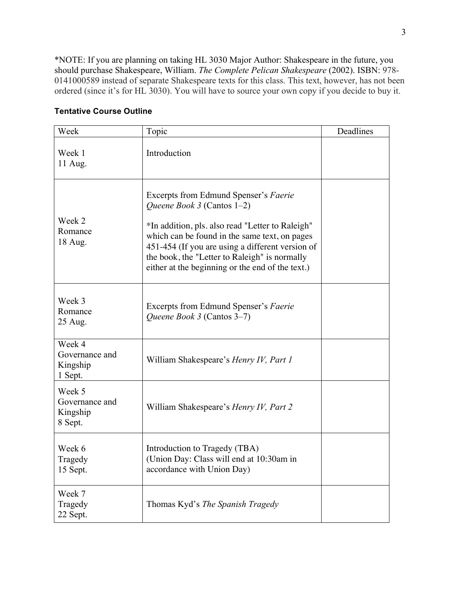\*NOTE: If you are planning on taking HL 3030 Major Author: Shakespeare in the future, you should purchase Shakespeare, William. *The Complete Pelican Shakespeare* (2002). ISBN: 978- 0141000589 instead of separate Shakespeare texts for this class. This text, however, has not been ordered (since it's for HL 3030). You will have to source your own copy if you decide to buy it.

# **Tentative Course Outline**

| Week                                            | Topic                                                                                                                                                                                                                                                                                                                                       | Deadlines |
|-------------------------------------------------|---------------------------------------------------------------------------------------------------------------------------------------------------------------------------------------------------------------------------------------------------------------------------------------------------------------------------------------------|-----------|
| Week 1<br>11 Aug.                               | Introduction                                                                                                                                                                                                                                                                                                                                |           |
| Week 2<br>Romance<br>18 Aug.                    | Excerpts from Edmund Spenser's Faerie<br><i>Queene Book 3</i> (Cantos $1-2$ )<br>*In addition, pls. also read "Letter to Raleigh"<br>which can be found in the same text, on pages<br>451-454 (If you are using a different version of<br>the book, the "Letter to Raleigh" is normally<br>either at the beginning or the end of the text.) |           |
| Week 3<br>Romance<br>25 Aug.                    | Excerpts from Edmund Spenser's Faerie<br>Queene Book 3 (Cantos 3–7)                                                                                                                                                                                                                                                                         |           |
| Week 4<br>Governance and<br>Kingship<br>1 Sept. | William Shakespeare's Henry IV, Part 1                                                                                                                                                                                                                                                                                                      |           |
| Week 5<br>Governance and<br>Kingship<br>8 Sept. | William Shakespeare's Henry IV, Part 2                                                                                                                                                                                                                                                                                                      |           |
| Week 6<br>Tragedy<br>15 Sept.                   | Introduction to Tragedy (TBA)<br>(Union Day: Class will end at 10:30am in<br>accordance with Union Day)                                                                                                                                                                                                                                     |           |
| Week 7<br>Tragedy<br>22 Sept.                   | Thomas Kyd's The Spanish Tragedy                                                                                                                                                                                                                                                                                                            |           |